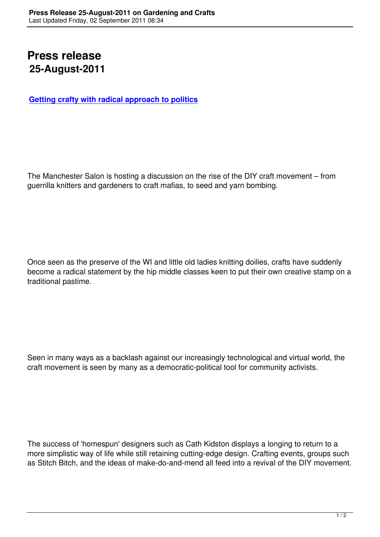## **Press release 25-August-2011**

**Getting crafty with radical approach to politics**

The Manchester Salon is hosting a discussion on the rise of the DIY craft movement – from guerrilla knitters and gardeners to craft mafias, to seed and yarn bombing.

Once seen as the preserve of the WI and little old ladies knitting doilies, crafts have suddenly become a radical statement by the hip middle classes keen to put their own creative stamp on a traditional pastime.

Seen in many ways as a backlash against our increasingly technological and virtual world, the craft movement is seen by many as a democratic-political tool for community activists.

The success of 'homespun' designers such as Cath Kidston displays a longing to return to a more simplistic way of life while still retaining cutting-edge design. Crafting events, groups such as Stitch Bitch, and the ideas of make-do-and-mend all feed into a revival of the DIY movement.